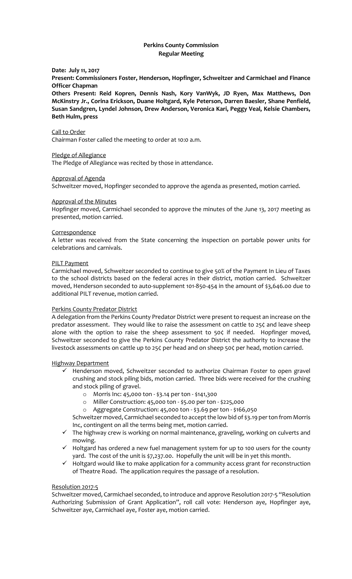# **Perkins County Commission Regular Meeting**

## **Date: July 11, 2017**

**Present: Commissioners Foster, Henderson, Hopfinger, Schweitzer and Carmichael and Finance Officer Chapman**

**Others Present: Reid Kopren, Dennis Nash, Kory VanWyk, JD Ryen, Max Matthews, Don McKinstry Jr., Corina Erickson, Duane Holtgard, Kyle Peterson, Darren Baesler, Shane Penfield, Susan Sandgren, Lyndel Johnson, Drew Anderson, Veronica Kari, Peggy Veal, Kelsie Chambers, Beth Hulm, press**

## Call to Order

Chairman Foster called the meeting to order at 10:0 a.m.

### Pledge of Allegiance

The Pledge of Allegiance was recited by those in attendance.

## Approval of Agenda

Schweitzer moved, Hopfinger seconded to approve the agenda as presented, motion carried.

### Approval of the Minutes

Hopfinger moved, Carmichael seconded to approve the minutes of the June 13, 2017 meeting as presented, motion carried.

### **Correspondence**

A letter was received from the State concerning the inspection on portable power units for celebrations and carnivals.

### PILT Payment

Carmichael moved, Schweitzer seconded to continue to give 50% of the Payment In Lieu of Taxes to the school districts based on the federal acres in their district, motion carried. Schweitzer moved, Henderson seconded to auto-supplement 101-850-454 in the amount of \$3,646.00 due to additional PILT revenue, motion carried.

## Perkins County Predator District

A delegation from the Perkins County Predator District were present to request an increase on the predator assessment. They would like to raise the assessment on cattle to 25¢ and leave sheep alone with the option to raise the sheep assessment to 50¢ if needed. Hopfinger moved, Schweitzer seconded to give the Perkins County Predator District the authority to increase the livestock assessments on cattle up to 25¢ per head and on sheep 50¢ per head, motion carried.

## Highway Department

- ✓ Henderson moved, Schweitzer seconded to authorize Chairman Foster to open gravel crushing and stock piling bids, motion carried. Three bids were received for the crushing and stock piling of gravel.
	- o Morris Inc: 45,000 ton \$3.14 per ton \$141,300
	- o Miller Construction: 45,000 ton \$5.00 per ton \$225,000
	- o Aggregate Construction: 45,000 ton \$3.69 per ton \$166,050

Schweitzer moved, Carmichael seconded to accept the low bid of \$3.19 per ton from Morris Inc, contingent on all the terms being met, motion carried.

- $\checkmark$  The highway crew is working on normal maintenance, graveling, working on culverts and mowing.
- ✓ Holtgard has ordered a new fuel management system for up to 100 users for the county yard. The cost of the unit is \$7,237.00. Hopefully the unit will be in yet this month.
- ✓ Holtgard would like to make application for a community access grant for reconstruction of Theatre Road. The application requires the passage of a resolution.

### Resolution 2017-5

Schweitzer moved, Carmichael seconded, to introduce and approve Resolution 2017-5 "Resolution Authorizing Submission of Grant Application", roll call vote: Henderson aye, Hopfinger aye, Schweitzer aye, Carmichael aye, Foster aye, motion carried.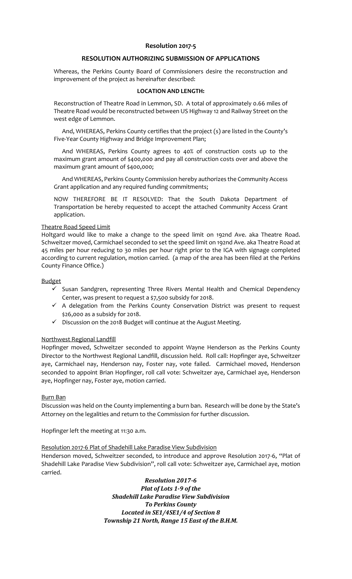# **Resolution 2017-5**

## **RESOLUTION AUTHORIZING SUBMISSION OF APPLICATIONS**

Whereas, the Perkins County Board of Commissioners desire the reconstruction and improvement of the project as hereinafter described:

## **LOCATION AND LENGTH:**

Reconstruction of Theatre Road in Lemmon, SD. A total of approximately 0.66 miles of Theatre Road would be reconstructed between US Highway 12 and Railway Street on the west edge of Lemmon.

And, WHEREAS, Perkins County certifies that the project (s) are listed in the County's Five-Year County Highway and Bridge Improvement Plan;

And WHEREAS, Perkins County agrees to 40% of construction costs up to the maximum grant amount of \$400,000 and pay all construction costs over and above the maximum grant amount of \$400,000;

And WHEREAS, Perkins County Commission hereby authorizes the Community Access Grant application and any required funding commitments;

NOW THEREFORE BE IT RESOLVED: That the South Dakota Department of Transportation be hereby requested to accept the attached Community Access Grant application.

### Theatre Road Speed Limit

Holtgard would like to make a change to the speed limit on 192nd Ave. aka Theatre Road. Schweitzer moved, Carmichael seconded to set the speed limit on 192nd Ave. aka Theatre Road at 45 miles per hour reducing to 30 miles per hour right prior to the IGA with signage completed according to current regulation, motion carried. (a map of the area has been filed at the Perkins County Finance Office.)

### Budget

- $\checkmark$  Susan Sandgren, representing Three Rivers Mental Health and Chemical Dependency Center, was present to request a \$7,500 subsidy for 2018.
- $\checkmark$  A delegation from the Perkins County Conservation District was present to request \$26,000 as a subsidy for 2018.
- ✓ Discussion on the 2018 Budget will continue at the August Meeting.

## Northwest Regional Landfill

Hopfinger moved, Schweitzer seconded to appoint Wayne Henderson as the Perkins County Director to the Northwest Regional Landfill, discussion held. Roll call: Hopfinger aye, Schweitzer aye, Carmichael nay, Henderson nay, Foster nay, vote failed. Carmichael moved, Henderson seconded to appoint Brian Hopfinger, roll call vote: Schweitzer aye, Carmichael aye, Henderson aye, Hopfinger nay, Foster aye, motion carried.

#### Burn Ban

Discussion was held on the County implementing a burn ban. Research will be done by the State's Attorney on the legalities and return to the Commission for further discussion.

Hopfinger left the meeting at 11:30 a.m.

## Resolution 2017-6 Plat of Shadehill Lake Paradise View Subdivision

Henderson moved, Schweitzer seconded, to introduce and approve Resolution 2017-6, "Plat of Shadehill Lake Paradise View Subdivision", roll call vote: Schweitzer aye, Carmichael aye, motion carried.

> *Resolution 2017-6 Plat of Lots 1-9 of the Shadehill Lake Paradise View Subdivision To Perkins County Located in SE1/4SE1/4 of Section 8 Township 21 North, Range 15 East of the B.H.M.*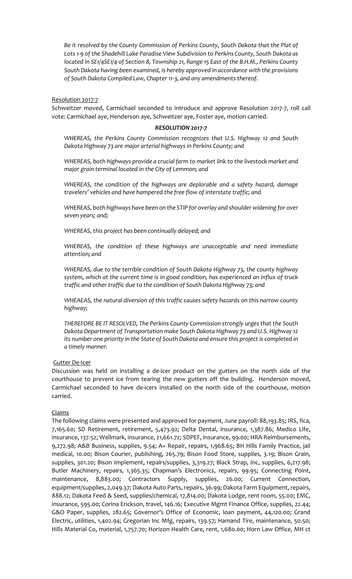*Be it resolved by the County Commission of Perkins County, South Dakota that the Plat of Lots 1-9 of the Shadehill Lake Paradise View Subdivision to Perkins County, South Dakota as located in SE1/4SE1/4 of Section 8, Township 21, Range 15 East of the B.H.M., Perkins County South Dakota having been examined, is hereby approved in accordance with the provisions of South Dakota Compiled Law, Chapter 11-3, and any amendments thereof.*

## Resolution 2017-7

Schweitzer moved, Carmichael seconded to introduce and approve Resolution 2017-7, roll call vote: Carmichael aye, Henderson aye, Schweitzer aye, Foster aye, motion carried.

### *RESOLUTION 2017-7*

*WHEREAS, the Perkins County Commission recognizes that U.S. Highway 12 and South Dakota Highway 73 are major arterial highways in Perkins County; and*

*WHEREAS, both highways provide a crucial farm to market link to the livestock market and major grain terminal located in the City of Lemmon; and* 

*WHEREAS, the condition of the highways are deplorable and a safety hazard, damage travelers' vehicles and have hampered the free flow of interstate traffic; and*

*WHEREAS, both highways have been on the STIP for overlay and shoulder widening for over seven years; and;*

*WHEREAS, this project has been continually delayed; and*

*WHEREAS, the condition of these highways are unacceptable and need immediate attention; and*

*WHEREAS, due to the terrible condition of South Dakota Highway 73, the county highway system, which at the current time is in good condition, has experienced an influx of truck traffic and other traffic due to the condition of South Dakota Highway 73; and*

*WHEAEAS, the natural diversion of this traffic causes safety hazards on this narrow county highway;*

*THEREFORE BE IT RESOLVED, The Perkins County Commission strongly urges that the South Dakota Department of Transportation make South Dakota Highway 73 and U.S. Highway 12 its number one priority in the State of South Dakota and ensure this project is completed in a timely manner.*

## Gutter De-Icer

Discussion was held on installing a de-icer product on the gutters on the north side of the courthouse to prevent ice from tearing the new gutters off the building. Henderson moved, Carmichael seconded to have de-icers installed on the north side of the courthouse, motion carried.

## Claims

The following claims were presented and approved for payment, June payroll: 88,193.85; IRS, fica, 7,165.60; SD Retirement, retirement, 5,473.92; Delta Dental, insurance, 1,387.86; Medico Life, insurance, 137.52; Wellmark, insurance, 21,661.72; SDPEF, insurance, 99.00; HRA Reimbursements, 9,272.98; A&B Business, supplies, 9.54; A+ Repair, repairs, 1,968.65; BH Hills Family Practice, jail medical, 10.00; Bison Courier, publishing, 265.79; Bison Food Store, supplies, 3.19; Bison Grain, supplies, 301.20; Bison Implement, repairs/supplies, 3,319.27; Black Strap, Inc, supplies, 6,217.98; Butler Machinery, repairs, 1,365.35; Chapman's Electronics, repairs, 99.95; Connecting Point, maintenance, 8,883.00; Contractors Supply, supplies, 26.00; Current Connection, equipment/supplies, 2,049.37; Dakota Auto Parts, repairs, 36.99; Dakota Farm Equipment, repairs, 888.12; Dakota Feed & Seed, supplies/chemical, 17,814.00; Dakota Lodge, rent room, 55.00; EMC, insurance, 595.00; Corina Erickson, travel, 146.16; Executive Mgmt Finance Office, supplies, 22.44; G&O Paper, supplies, 282.65; Governor's Office of Economic, loan payment, 44,120.00; Grand Electric, utilities, 1,402.94; Gregorian Inc Mfg, repairs, 139.57; Hamand Tire, maintenance, 50.50; Hills Material Co, material, 1,757.70; Horizon Health Care, rent, 1,680.00; Horn Law Office, MH ct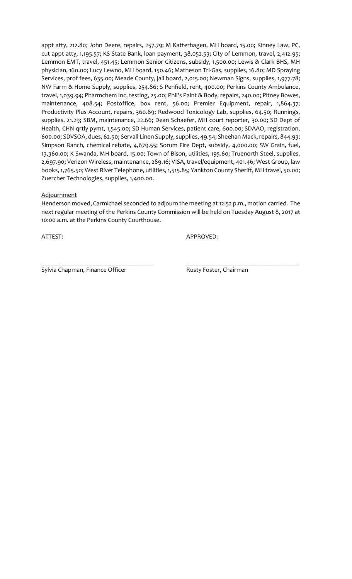appt atty, 212.80; John Deere, repairs, 257.79; M Katterhagen, MH board, 15.00; Kinney Law, PC, cut appt atty, 1,195.57; KS State Bank, loan payment, 38,052.53; City of Lemmon, travel, 2,412.95; Lemmon EMT, travel, 451.45; Lemmon Senior Citizens, subsidy, 1,500.00; Lewis & Clark BHS, MH physician, 160.00; Lucy Lewno, MH board, 150.46; Matheson Tri-Gas, supplies, 16.80; MD Spraying Services, prof fees, 635.00; Meade County, jail board, 2,015.00; Newman Signs, supplies, 1,977.78; NW Farm & Home Supply, supplies, 254.86; S Penfield, rent, 400.00; Perkins County Ambulance, travel, 1,039.94; Pharmchem Inc, testing, 25.00; Phil's Paint & Body, repairs, 240.00; Pitney Bowes, maintenance, 408.54; Postoffice, box rent, 56.00; Premier Equipment, repair, 1,864.37; Productivity Plus Account, repairs, 360.89; Redwood Toxicology Lab, supplies, 64.50; Runnings, supplies, 21.29; SBM, maintenance, 22.66; Dean Schaefer, MH court reporter, 30.00; SD Dept of Health, CHN qrtly pymt, 1,545.00; SD Human Services, patient care, 600.00; SDAAO, registration, 600.00; SDVSOA, dues, 62.50; Servall Linen Supply, supplies, 49.54; Sheehan Mack, repairs, 844.93; Simpson Ranch, chemical rebate, 4,679.55; Sorum Fire Dept, subsidy, 4,000.00; SW Grain, fuel, 13,360.00; K Swanda, MH board, 15.00; Town of Bison, utilities, 195.60; Truenorth Steel, supplies, 2,697.90; Verizon Wireless, maintenance, 289.16; VISA, travel/equipment, 401.46; West Group, law books, 1,765.50; West River Telephone, utilities, 1,515.85; Yankton County Sheriff, MH travel, 50.00; Zuercher Technologies, supplies, 1,400.00.

## **Adjournment**

Henderson moved, Carmichael seconded to adjourn the meeting at 12:52 p.m., motion carried. The next regular meeting of the Perkins County Commission will be held on Tuesday August 8, 2017 at 10:00 a.m. at the Perkins County Courthouse.

\_\_\_\_\_\_\_\_\_\_\_\_\_\_\_\_\_\_\_\_\_\_\_\_\_\_\_\_\_\_\_\_\_\_\_ \_\_\_\_\_\_\_\_\_\_\_\_\_\_\_\_\_\_\_\_\_\_\_\_\_\_\_\_\_\_\_\_\_\_\_

ATTEST: APPROVED:

Sylvia Chapman, Finance Officer **Rusty Foster, Chairman**